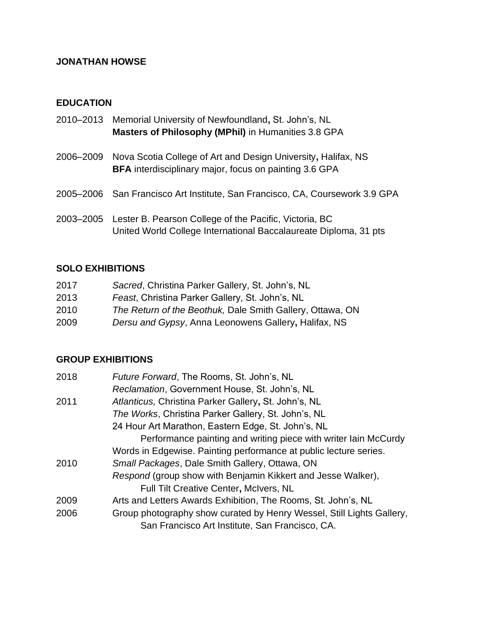# **JONATHAN HOWSE**

# **EDUCATION**

- 2010–2013 Memorial University of Newfoundland**,** St. John's, NL **Masters of Philosophy (MPhil)** in Humanities 3.8 GPA
- 2006–2009 Nova Scotia College of Art and Design University**,** Halifax, NS **BFA** interdisciplinary major, focus on painting 3.6 GPA
- 2005–2006 San Francisco Art Institute, San Francisco, CA, Coursework 3.9 GPA
- 2003–2005 Lester B. Pearson College of the Pacific, Victoria, BC United World College International Baccalaureate Diploma, 31 pts

### **SOLO EXHIBITIONS**

| 2017 | Sacred, Christina Parker Gallery, St. John's, NL          |
|------|-----------------------------------------------------------|
| 2013 | Feast, Christina Parker Gallery, St. John's, NL           |
| 2010 | The Return of the Beothuk, Dale Smith Gallery, Ottawa, ON |
| 2009 | Dersu and Gypsy, Anna Leonowens Gallery, Halifax, NS      |

#### **GROUP EXHIBITIONS**

| 2018 | Future Forward, The Rooms, St. John's, NL                             |
|------|-----------------------------------------------------------------------|
|      | Reclamation, Government House, St. John's, NL                         |
| 2011 | Atlanticus, Christina Parker Gallery, St. John's, NL                  |
|      | The Works, Christina Parker Gallery, St. John's, NL                   |
|      | 24 Hour Art Marathon, Eastern Edge, St. John's, NL                    |
|      | Performance painting and writing piece with writer lain McCurdy       |
|      | Words in Edgewise. Painting performance at public lecture series.     |
| 2010 | Small Packages, Dale Smith Gallery, Ottawa, ON                        |
|      | Respond (group show with Benjamin Kikkert and Jesse Walker),          |
|      | <b>Full Tilt Creative Center, McIvers, NL</b>                         |
| 2009 | Arts and Letters Awards Exhibition, The Rooms, St. John's, NL         |
| 2006 | Group photography show curated by Henry Wessel, Still Lights Gallery, |
|      | San Francisco Art Institute, San Francisco, CA.                       |